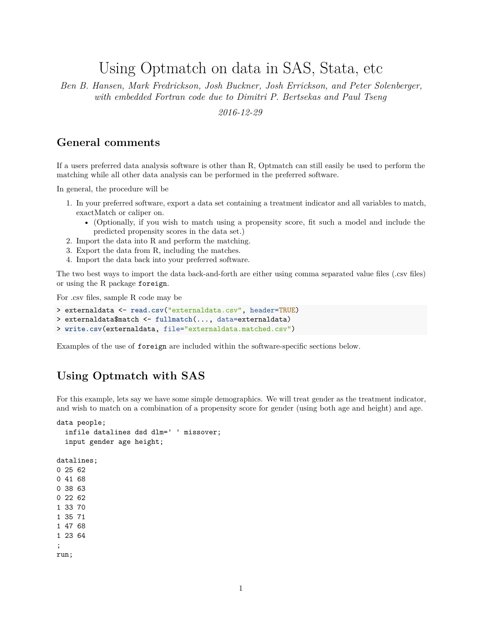# Using Optmatch on data in SAS, Stata, etc

*Ben B. Hansen, Mark Fredrickson, Josh Buckner, Josh Errickson, and Peter Solenberger, with embedded Fortran code due to Dimitri P. Bertsekas and Paul Tseng*

*2016-12-29*

### **General comments**

If a users preferred data analysis software is other than R, Optmatch can still easily be used to perform the matching while all other data analysis can be performed in the preferred software.

In general, the procedure will be

- 1. In your preferred software, export a data set containing a treatment indicator and all variables to match, exactMatch or caliper on.
	- (Optionally, if you wish to match using a propensity score, fit such a model and include the predicted propensity scores in the data set.)
- 2. Import the data into R and perform the matching.
- 3. Export the data from R, including the matches.
- 4. Import the data back into your preferred software.

The two best ways to import the data back-and-forth are either using comma separated value files (.csv files) or using the R package foreign.

For .csv files, sample R code may be

```
> externaldata <- read.csv("externaldata.csv", header=TRUE)
> externaldata$match <- fullmatch(..., data=externaldata)
> write.csv(externaldata, file="externaldata.matched.csv")
```
Examples of the use of foreign are included within the software-specific sections below.

## **Using Optmatch with SAS**

For this example, lets say we have some simple demographics. We will treat gender as the treatment indicator, and wish to match on a combination of a propensity score for gender (using both age and height) and age.

```
data people;
  infile datalines dsd dlm=' ' missover;
  input gender age height;
datalines;
0 25 62
0 41 68
0 38 63
0 22 62
1 33 70
1 35 71
1 47 68
1 23 64
;
run;
```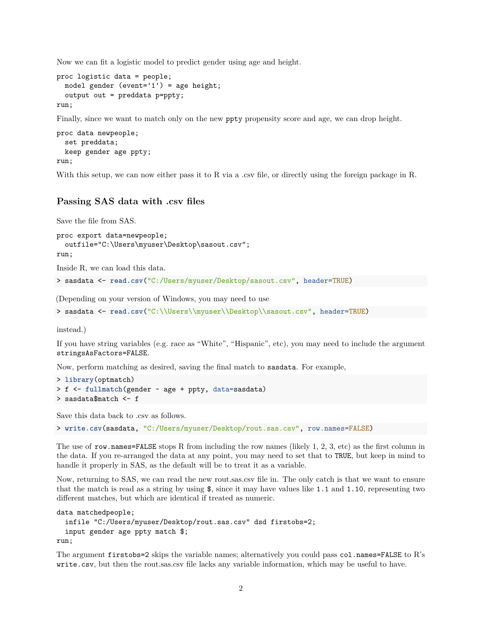Now we can fit a logistic model to predict gender using age and height.

```
proc logistic data = people;
 model gender (event='1') = age height;
  output out = preddata p=ppty;
run;
```
Finally, since we want to match only on the new ppty propensity score and age, we can drop height.

```
proc data newpeople;
  set preddata;
 keep gender age ppty;
run;
```
With this setup, we can now either pass it to R via a .csv file, or directly using the foreign package in R.

#### **Passing SAS data with .csv files**

Save the file from SAS.

```
proc export data=newpeople;
  outfile="C:\Users\myuser\Desktop\sasout.csv";
run;
```
Inside R, we can load this data.

> sasdata <- **read.csv**("C:/Users/myuser/Desktop/sasout.csv", header=TRUE)

(Depending on your version of Windows, you may need to use

> sasdata <- read.csv("C:\\Users\\myuser\\Desktop\\sasout.csv", header=TRUE)

instead.)

If you have string variables (e.g. race as "White", "Hispanic", etc), you may need to include the argument stringsAsFactors=FALSE.

Now, perform matching as desired, saving the final match to sasdata. For example,

```
> library(optmatch)
> f <- fullmatch(gender ~ age + ppty, data=sasdata)
> sasdata$match <- f
```
Save this data back to .csv as follows.

> **write.csv**(sasdata, "C:/Users/myuser/Desktop/rout.sas.csv", row.names=FALSE)

The use of row.names=FALSE stops R from including the row names (likely 1, 2, 3, etc) as the first column in the data. If you re-arranged the data at any point, you may need to set that to TRUE, but keep in mind to handle it properly in SAS, as the default will be to treat it as a variable.

Now, returning to SAS, we can read the new rout.sas.csv file in. The only catch is that we want to ensure that the match is read as a string by using \$, since it may have values like 1.1 and 1.10, representing two different matches, but which are identical if treated as numeric.

```
data matchedpeople;
  infile "C:/Users/myuser/Desktop/rout.sas.csv" dsd firstobs=2;
  input gender age ppty match $;
run;
```
The argument firstobs=2 skips the variable names; alternatively you could pass col.names=FALSE to R's write.csv, but then the rout.sas.csv file lacks any variable information, which may be useful to have.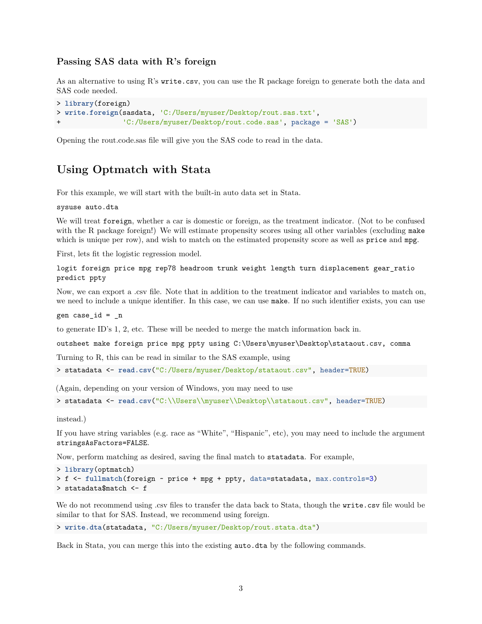#### **Passing SAS data with R's foreign**

As an alternative to using R's write.csv, you can use the R package foreign to generate both the data and SAS code needed.

```
> library(foreign)
> write.foreign(sasdata, 'C:/Users/myuser/Desktop/rout.sas.txt',
                + 'C:/Users/myuser/Desktop/rout.code.sas', package = 'SAS')
```
Opening the rout.code.sas file will give you the SAS code to read in the data.

### **Using Optmatch with Stata**

For this example, we will start with the built-in auto data set in Stata.

sysuse auto.dta

We will treat foreign, whether a car is domestic or foreign, as the treatment indicator. (Not to be confused with the R package foreign!) We will estimate propensity scores using all other variables (excluding make which is unique per row), and wish to match on the estimated propensity score as well as **price** and **mpg**.

First, lets fit the logistic regression model.

logit foreign price mpg rep78 headroom trunk weight length turn displacement gear\_ratio predict ppty

Now, we can export a .csv file. Note that in addition to the treatment indicator and variables to match on, we need to include a unique identifier. In this case, we can use make. If no such identifier exists, you can use

gen case\_id = \_n

to generate ID's 1, 2, etc. These will be needed to merge the match information back in.

outsheet make foreign price mpg ppty using C:\Users\myuser\Desktop\stataout.csv, comma

Turning to R, this can be read in similar to the SAS example, using

```
> statadata <- read.csv("C:/Users/myuser/Desktop/stataout.csv", header=TRUE)
```
(Again, depending on your version of Windows, you may need to use

> statadata <- read.csv("C:\\Users\\myuser\\Desktop\\stataout.csv", header=TRUE)

instead.)

If you have string variables (e.g. race as "White", "Hispanic", etc), you may need to include the argument stringsAsFactors=FALSE.

Now, perform matching as desired, saving the final match to statadata. For example,

```
> library(optmatch)
> f <- fullmatch(foreign ~ price + mpg + ppty, data=statadata, max.controls=3)
> statadata$match <- f
```
We do not recommend using .csv files to transfer the data back to Stata, though the write.csv file would be similar to that for SAS. Instead, we recommend using foreign.

```
> write.dta(statadata, "C:/Users/myuser/Desktop/rout.stata.dta")
```
Back in Stata, you can merge this into the existing auto.dta by the following commands.